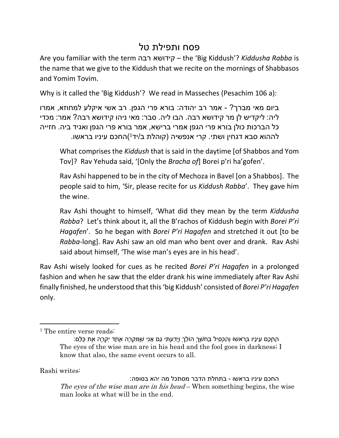## פסח ותפילת טל

Are you familiar with the term רבה קידושא – the 'Big Kiddush'? *Kiddusha Rabba* is the name that we give to the Kiddush that we recite on the mornings of Shabbasos and Yomim Tovim.

Why is it called the 'Big Kiddush'? We read in Masseches (Pesachim 106 a):

ביום מאי מברך? - אמר רב יהודה: בורא פרי הגפן. רב אשי איקלע למחוזא, אמרו ליה: ליקדיש לן מר קידושא רבה. הבו ליה. סבר: מאי ניהו קידושא רבה? אמר: מכדי כל הברכות כולן בורא פרי הגפן אמרי ברישא, אמר בורא פרי הגפן ואגיד ביה. חזייה לההוא סבא דגחין ושתי. קרי אנפשיה (קוהלת ב/יד<sup>נ</sup>)החכם עיניו בראשו.

What comprises the *Kiddush* that is said in the daytime [of Shabbos and Yom Tov]? Rav Yehuda said, '[Only the *Bracha of*] Borei p'ri ha'gofen'.

Rav Ashi happened to be in the city of Mechoza in Bavel [on a Shabbos]. The people said to him, 'Sir, please recite for us *Kiddush Rabba*'. They gave him the wine.

Rav Ashi thought to himself, 'What did they mean by the term *Kiddusha Rabba*? Let's think about it, all the B'rachos of Kiddush begin with *Borei P'ri Hagafen*'. So he began with *Borei P'ri Hagafen* and stretched it out [to be *Rabba*-long]. Rav Ashi saw an old man who bent over and drank. Rav Ashi said about himself, 'The wise man's eyes are in his head'.

Rav Ashi wisely looked for cues as he recited *Borei P'ri Hagafen* in a prolonged fashion and when he saw that the elder drank his wine immediately after Rav Ashi finally finished, he understood that this 'big Kiddush' consisted of *Borei P'ri Hagafen* only.

Rashi writes:

החכם עיניו בראשו - בתחלת הדבר מסתכל מה יהא בסופה: *The eyes of the wise man are in his head* – When something begins, the wise man looks at what will be in the end.

<sup>&</sup>lt;sup>1</sup> The entire verse reads:

הֶחָכָם עֵינָיו בְּרֹאשׁוֹ וְהַכְּסִיל בַּחֹשֶׁךְ הוֹלֵךְ וְיָדַעְתִּי גַם אָנִי שֶׁמִּקְרֶה אֶחָד יִקְרֶה אֶת כֻּלָּם: The eyes of the wise man are in his head and the fool goes in darkness; I know that also, the same event occurs to all.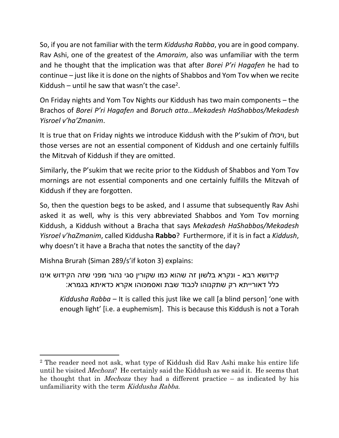So, if you are not familiar with the term *Kiddusha Rabba*, you are in good company. Rav Ashi, one of the greatest of the *Amoraim*, also was unfamiliar with the term and he thought that the implication was that after *Borei P'ri Hagafen* he had to continue – just like it is done on the nights of Shabbos and Yom Tov when we recite Kiddush  $-$  until he saw that wasn't the case<sup>2</sup>.

On Friday nights and Yom Tov Nights our Kiddush has two main components – the Brachos of *Borei P'ri Hagafen* and *Boruch atta…Mekadesh HaShabbos/Mekadesh Yisroel v'ha'Zmanim*.

It is true that on Friday nights we introduce Kiddush with the P'sukim of ויכולו, but those verses are not an essential component of Kiddush and one certainly fulfills the Mitzvah of Kiddush if they are omitted.

Similarly, the P'sukim that we recite prior to the Kiddush of Shabbos and Yom Tov mornings are not essential components and one certainly fulfills the Mitzvah of Kiddush if they are forgotten.

So, then the question begs to be asked, and I assume that subsequently Rav Ashi asked it as well, why is this very abbreviated Shabbos and Yom Tov morning Kiddush, a Kiddush without a Bracha that says *Mekadesh HaShabbos/Mekadesh Yisroel v'haZmanim*, called Kiddusha **Rabbo**? Furthermore, if it is in fact a *Kiddush*, why doesn't it have a Bracha that notes the sanctity of the day?

Mishna Brurah (Siman 289/s'if koton 3) explains:

קידושא רבא - ונקרא בלשון זה שהוא כמו שקורין סגי נהור מפני שזה הקידוש אינו כלל דאורייתא רק שתקנוהו לכבוד שבת ואסמכוהו אקרא כדאיתא בגמרא:

*Kiddusha Rabba* – It is called this just like we call [a blind person] 'one with enough light' [i.e. a euphemism]. This is because this Kiddush is not a Torah

<sup>2</sup> The reader need not ask, what type of Kiddush did Rav Ashi make his entire life until he visited *Mechoza*? He certainly said the Kiddush as we said it. He seems that he thought that in *Mechoza* they had a different practice – as indicated by his unfamiliarity with the term *Kiddusha Rabba*.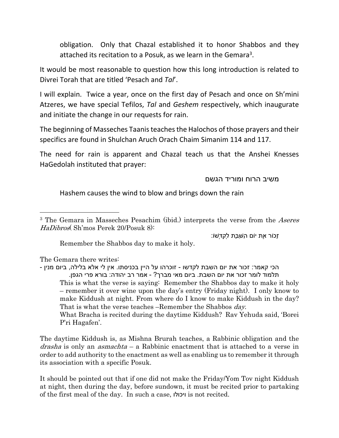obligation. Only that Chazal established it to honor Shabbos and they attached its recitation to a Posuk, as we learn in the Gemara<sup>3</sup>.

It would be most reasonable to question how this long introduction is related to Divrei Torah that are titled 'Pesach and *Tal*'.

I will explain. Twice a year, once on the first day of Pesach and once on Sh'mini Atzeres, we have special Tefilos, *Tal* and *Geshem* respectively, which inaugurate and initiate the change in our requests for rain.

The beginning of Masseches Taanis teaches the Halochos of those prayers and their specifics are found in Shulchan Aruch Orach Chaim Simanim 114 and 117.

The need for rain is apparent and Chazal teach us that the Anshei Knesses HaGedolah instituted that prayer:

משיב הרוח ומוריד הגשם

Hashem causes the wind to blow and brings down the rain

זָכוֹר אֶת יוֹם הַשַּׁבָּת לְקַדְּשׁוֹ:

Remember the Shabbos day to make it holy.

The Gemara there writes:

הכי קאמר: זכור את יום השבת לקדשו - זוכרהו על היין בכניסתו. אין לי אלא בלילה, ביום מנין - תלמוד לומר זכור את יום השבת. ביום מאי מברך? - אמר רב יהודה: בורא פרי הגפן. This is what the verse is saying: Remember the Shabbos day to make it holy – remember it over wine upon the day's entry (Friday night). I only know to make Kiddush at night. From where do I know to make Kiddush in the day? That is what the verse teaches –Remember the Shabbos *day*. What Bracha is recited during the daytime Kiddush? Rav Yehuda said, 'Borei

P'ri Hagafen'.

The daytime Kiddush is, as Mishna Brurah teaches, a Rabbinic obligation and the *drasha* is only an *asmachta* – a Rabbinic enactment that is attached to a verse in order to add authority to the enactment as well as enabling us to remember it through its association with a specific Posuk.

It should be pointed out that if one did not make the Friday/Yom Tov night Kiddush at night, then during the day, before sundown, it must be recited prior to partaking of the first meal of the day. In such a case, ויכולו is not recited.

<sup>3</sup> The Gemara in Masseches Pesachim (ibid.) interprets the verse from the *Aseres HaDibros*( Sh'mos Perek 20/Posuk 8):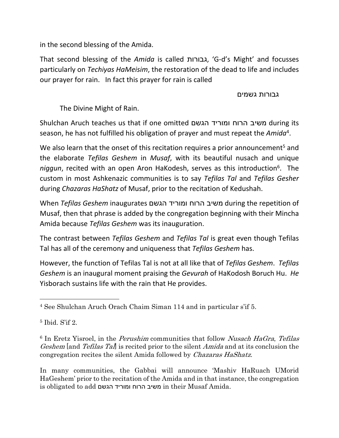in the second blessing of the Amida.

That second blessing of the *Amida* is called גבורות,' G-d's Might' and focusses particularly on *Techiyas HaMeisim*, the restoration of the dead to life and includes our prayer for rain. In fact this prayer for rain is called

## גבורות גשמים

The Divine Might of Rain.

Shulchan Aruch teaches us that if one omitted הגשם ומוריד הרוח משיב during its season, he has not fulfilled his obligation of prayer and must repeat the *Amida*<sup>4</sup> .

We also learn that the onset of this recitation requires a prior announcement<sup>5</sup> and the elaborate *Tefilas Geshem* in *Musaf*, with its beautiful nusach and unique niggun, recited with an open Aron HaKodesh, serves as this introduction<sup>6</sup>. The custom in most Ashkenazic communities is to say *Tefilas Tal* and *Tefilas Gesher* during *Chazaras HaShatz* of Musaf, prior to the recitation of Kedushah.

When *Tefilas Geshem* inaugurates הגשם ומוריד הרוח משיב during the repetition of Musaf, then that phrase is added by the congregation beginning with their Mincha Amida because *Tefilas Geshem* was its inauguration.

The contrast between *Tefilas Geshem* and *Tefilas Tal* is great even though Tefilas Tal has all of the ceremony and uniqueness that *Tefilas Geshem* has.

However, the function of Tefilas Tal is not at all like that of *Tefilas Geshem*. *Tefilas Geshem* is an inaugural moment praising the *Gevurah* of HaKodosh Boruch Hu. *He* Yisborach sustains life with the rain that He provides.

In many communities, the Gabbai will announce 'Mashiv HaRuach UMorid HaGeshem' prior to the recitation of the Amida and in that instance, the congregation is obligated to add הגשם ומוריד הרוח משיב in their Musaf Amida.

<sup>4</sup> See Shulchan Aruch Orach Chaim Siman 114 and in particular s'if 5.

<sup>5</sup> Ibid. S'if 2.

<sup>6</sup> In Eretz Yisroel, in the *Perushim* communities that follow *Nusach HaGra*, *Tefilas Geshem* [and *Tefilas Tal*] is recited prior to the silent *Amida* and at its conclusion the congregation recites the silent Amida followed by *Chazaras HaShatz*.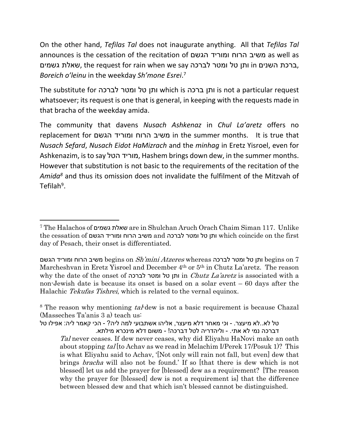On the other hand, *Tefilas Tal* does not inaugurate anything. All that *Tefilas Tal* announces is the cessation of the recitation of הגשם ומוריד הרוח משיב as well as ,ברכת השנים in ותן טל ומטר לברכה the request for rain when we say שאלת גשמים *Boreich o'leinu* in the weekday *Sh'mone Esrei*. 7

The substitute for לברכה ומטר טל ותן which is ברכה ותן is not a particular request whatsoever; its request is one that is general, in keeping with the requests made in that bracha of the weekday amida.

The community that davens *Nusach Ashkenaz* in *Chul La'aretz* offers no replacement for הגשם ומוריד הרוח משיב in the summer months. It is true that *Nusach Sefard*, *Nusach Eidot HaMizrach* and the *minhag* in Eretz Yisroel, even for Ashkenazim, is to say הטל מוריד, Hashem brings down dew, in the summer months. However that substitution is not basic to the requirements of the recitation of the *Amida<sup>8</sup>* and thus its omission does not invalidate the fulfilment of the Mitzvah of Tefilah<sup>9</sup>.

טל לא..לא מיעצר. - וכי מאחר דלא מיעצר, אליהו אשתבועי למה ליה? - הכי קאמר ליה: אפילו טל דברכה נמי לא אתי. - וליהדריה לטל דברכה! - משום דלא מינכרא מילתא.

<sup>7</sup> The Halachos of גשמים שאלת are in Shulchan Aruch Orach Chaim Siman 117. Unlike the cessation of הגשם ומוריד הרוח משיב and לברכה ומטר טל ותן which coincide on the first day of Pesach, their onset is differentiated.

 <sup>7</sup> on begins ותן טל ומטר לברכה whereas *Atzeres mini'Sh* on begins משיב הרוח ומוריד הגשם Marcheshvan in Eretz Yisroel and December 4<sup>th</sup> or 5<sup>th</sup> in Chutz La'aretz. The reason why the date of the onset of לברכה ומטר טל ותן in *Chutz La'aretz* is associated with a non-Jewish date is because its onset is based on a solar event – 60 days after the Halachic *Tekufas Tishrei*, which is related to the vernal equinox.

<sup>8</sup> The reason why mentioning *tal*-dew is not a basic requirement is because Chazal (Masseches Ta'anis 3 a) teach us:

*Tal* never ceases. If dew never ceases, why did Eliyahu HaNovi make an oath about stopping *tal* [to Achav as we read in Melachim I/Perek 17/Posuk 1)? This is what Eliyahu said to Achav, '[Not only will rain not fall, but even] dew that brings *bracha* will also not be found.' If so [that there is dew which is not blessed] let us add the prayer for [blessed] dew as a requirement? [The reason why the prayer for [blessed] dew is not a requirement is] that the difference between blessed dew and that which isn't blessed cannot be distinguished.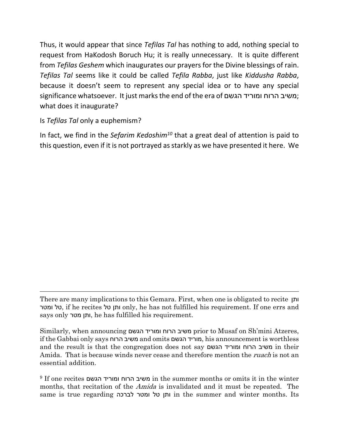Thus, it would appear that since *Tefilas Tal* has nothing to add, nothing special to request from HaKodosh Boruch Hu; it is really unnecessary. It is quite different from *Tefilas Geshem* which inaugurates our prayers for the Divine blessings of rain. *Tefilas Tal* seems like it could be called *Tefila Rabba*, just like *Kiddusha Rabba*, because it doesn't seem to represent any special idea or to have any special significance whatsoever. It just marks the end of the era of הגשם ומוריד הרוח משיב ; what does it inaugurate?

Is *Tefilas Tal* only a euphemism?

In fact, we find in the *Sefarim Kedoshim<sup>10</sup>* that a great deal of attention is paid to this question, even if it is not portrayed as starkly as we have presented it here. We

There are many implications to this Gemara. First, when one is obligated to recite ותן ומטר טל, if he recites טל ותן only, he has not fulfilled his requirement. If one errs and says only מטר ותן, he has fulfilled his requirement.

Similarly, when announcing הגשם ומוריד הרוח משיב prior to Musaf on Sh'mini Atzeres, if the Gabbai only says הרוח משיב and omits הגשם מוריד, his announcement is worthless and the result is that the congregation does not say הגשם ומוריד הרוח משיב in their Amida. That is because winds never cease and therefore mention the *ruach* is not an essential addition.

 $^9$  If one recites ומוריד הגשם in the summer months or omits it in the winter months, that recitation of the *Amida* is invalidated and it must be repeated. The same is true regarding לברכה ומטר טל ותן in the summer and winter months. Its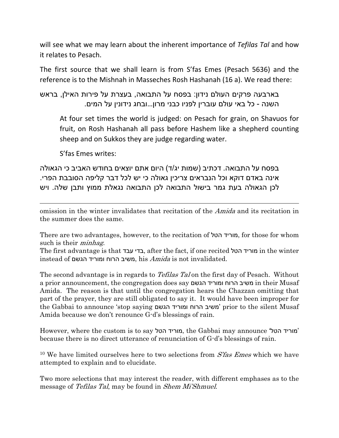will see what we may learn about the inherent importance of *Tefilas Tal* and how it relates to Pesach.

The first source that we shall learn is from S'fas Emes (Pesach 5636) and the reference is to the Mishnah in Masseches Rosh Hashanah (16 a). We read there:

בארבעה פרקים העולם נידון: בפסח על התבואה, בעצרת על פירות האילן, בראש השנה - כל באי עולם עוברין לפניו כבני מרון...ובחג נידונין על המים.

At four set times the world is judged: on Pesach for grain, on Shavuos for fruit, on Rosh Hashanah all pass before Hashem like a shepherd counting sheep and on Sukkos they are judge regarding water.

S'fas Emes writes:

בפסח על התבואה. דכתיב (שמות יג/ד) היום אתם יוצאים בחודש האביב כי הגאולה אינה באדם דוקא וכל הנבראים צריכין גאולה כי יש לכל דבר קליפה הסובבת הפרי. לכן הגאולה בעת גמר בישול התבואה לכן התבואה נגאלת ממוץ ותבן שלה. ויש

omission in the winter invalidates that recitation of the *Amida* and its recitation in the summer does the same.

There are two advantages, however, to the recitation of הטל מוריד, for those for whom such is their *minhag*.

The first advantage is that עבד בדי, after the fact, if one recited הטל מוריד in the winter instead of הגשם ומוריד הרוח משיב, his *Amida* is not invalidated.

The second advantage is in regards to *Tefilas Tal* on the first day of Pesach. Without a prior announcement, the congregation does say הגשם ומוריד הרוח משיב in their Musaf Amida. The reason is that until the congregation hears the Chazzan omitting that part of the prayer, they are still obligated to say it. It would have been improper for the Gabbai to announce 'stop saying הגשם ומוריד הרוח משיב 'prior to the silent Musaf Amida because we don't renounce G-d's blessings of rain.

However, where the custom is to say הטל מוריד, the Gabbai may announce 'הטל מוריד ' because there is no direct utterance of renunciation of G-d's blessings of rain.

<sup>10</sup> We have limited ourselves here to two selections from *S'fas Emes* which we have attempted to explain and to elucidate.

Two more selections that may interest the reader, with different emphases as to the message of *Tefilas Tal*, may be found in *Shem Mi'Shmuel*.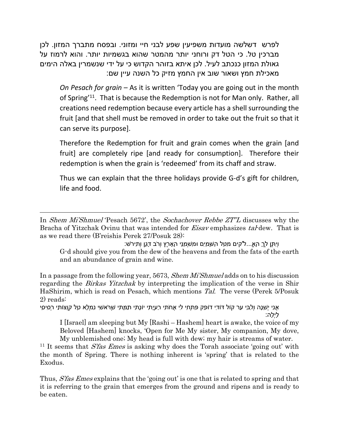לפרש דשלשה מועדות משפיעין שפע לבני חיי ומזוני. ובפסח מתברך המזון. לכן מברכין טל. כי הטל דק ורוחני יותר מהמטר שהוא בגשמיות יותר. והוא לרמוז על גאולת המזון כנכתב לעיל. לכן איתא בזוהר הקדוש כי על ידי שנשמרין באלה הימים מאכילת חמץ ושאור שוב אין החמץ מזיק כל השנה עיין שם:

*On Pesach for grain* – As it is written 'Today you are going out in the month of Spring'<sup>11</sup>. That is because the Redemption is not for Man only. Rather, all creations need redemption because every article has a shell surrounding the fruit [and that shell must be removed in order to take out the fruit so that it can serve its purpose].

Therefore the Redemption for fruit and grain comes when the grain [and fruit] are completely ripe [and ready for consumption]. Therefore their redemption is when the grain is 'redeemed' from its chaff and straw.

Thus we can explain that the three holidays provide G-d's gift for children, life and food.

In *Shem Mi'Shmuel* 'Pesach 5672', the *Sochachover Rebbe ZT"L* discusses why the Bracha of Yitzchak Ovinu that was intended for *Eisav* emphasizes *tal*-dew. That is as we read there (B'reishis Perek 27/Posuk 28):

וְיִתֶּן לְךָ הָא...ֱלֹ'קים מִטַּל הַשָּׁמַיִם וּמִשְׁמַנֵּי הָאָרֶץ וְרֹב דָּגָן וְתִירֹשׁ: G-d should give you from the dew of the heavens and from the fats of the earth and an abundance of grain and wine.

In a passage from the following year, 5673, *Shem Mi'Shmuel* adds on to his discussion regarding the *Birkas Yitzchak* by interpreting the implication of the verse in Shir HaShirim, which is read on Pesach, which mentions *Tal*. The verse (Perek 5/Posuk 2) reads:

אֲנִי יְשֵׁנָה וְלִבִּי עֵר קוֹל דּוֹדִי דוֹפֵק פִּתְחִי לִי אֲחֹתִי רַעְיָתִי יוֹנָתִי תַמָּתִי שֶׁרֹּאשִׁי נִמְלָא טָל קְוֻצּוֹתַי רְסִיסֵי לָיְלָה:

I [Israel] am sleeping but My [Rashi – Hashem] heart is awake, the voice of my Beloved [Hashem] knocks, 'Open for Me My sister, My companion, My dove, My unblemished one; My head is full with dew; my hair is streams of water.

<sup>11</sup> It seems that *S'fas Emes* is asking why does the Torah associate 'going out' with the month of Spring. There is nothing inherent is 'spring' that is related to the Exodus.

Thus, *S'fas Emes* explains that the 'going out' is one that is related to spring and that it is referring to the grain that emerges from the ground and ripens and is ready to be eaten.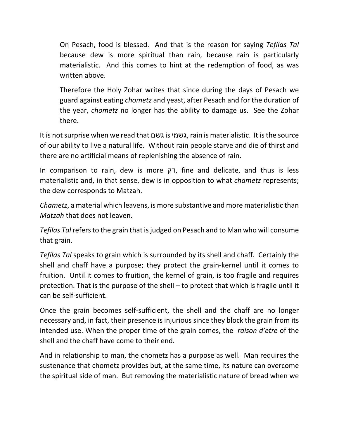On Pesach, food is blessed. And that is the reason for saying *Tefilas Tal* because dew is more spiritual than rain, because rain is particularly materialistic. And this comes to hint at the redemption of food, as was written above.

Therefore the Holy Zohar writes that since during the days of Pesach we guard against eating *chometz* and yeast, after Pesach and for the duration of the year, *chometz* no longer has the ability to damage us. See the Zohar there.

It is not surprise when we read that גשם is גשמי, rain is materialistic. It is the source of our ability to live a natural life. Without rain people starve and die of thirst and there are no artificial means of replenishing the absence of rain.

In comparison to rain, dew is more דק, fine and delicate, and thus is less materialistic and, in that sense, dew is in opposition to what *chametz* represents; the dew corresponds to Matzah.

*Chametz*, a material which leavens, is more substantive and more materialistic than *Matzah* that does not leaven.

*Tefilas Tal* refers to the grain that is judged on Pesach and to Man who will consume that grain.

*Tefilas Tal* speaks to grain which is surrounded by its shell and chaff. Certainly the shell and chaff have a purpose; they protect the grain-kernel until it comes to fruition. Until it comes to fruition, the kernel of grain, is too fragile and requires protection. That is the purpose of the shell – to protect that which is fragile until it can be self-sufficient.

Once the grain becomes self-sufficient, the shell and the chaff are no longer necessary and, in fact, their presence is injurious since they block the grain from its intended use. When the proper time of the grain comes, the *raison d'etre* of the shell and the chaff have come to their end.

And in relationship to man, the chometz has a purpose as well. Man requires the sustenance that chometz provides but, at the same time, its nature can overcome the spiritual side of man. But removing the materialistic nature of bread when we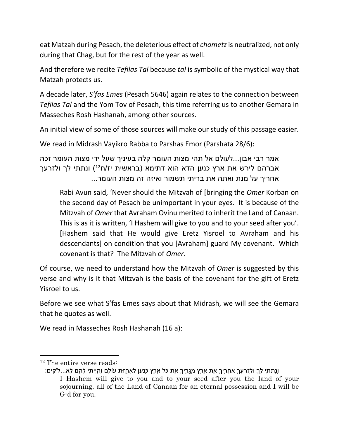eat Matzah during Pesach, the deleterious effect of *chometz* is neutralized, not only during that Chag, but for the rest of the year as well.

And therefore we recite *Tefilas Tal* because *tal* is symbolic of the mystical way that Matzah protects us.

A decade later, *S'fas Emes* (Pesach 5646) again relates to the connection between *Tefilas Tal* and the Yom Tov of Pesach, this time referring us to another Gemara in Masseches Rosh Hashanah, among other sources.

An initial view of some of those sources will make our study of this passage easier.

We read in Midrash Vayikro Rabba to Parshas Emor (Parshata 28/6):

אמר רבי אבון...לעולם אל תהי מצות העומר קלה בעיניך שעל ידי מצות העומר זכה אברהם לירש את ארץ כנען הדא הוא דתימא (בראשית יז/ח12) ונתתי לך ולזרעך אחריך על מנת ואתה את בריתי תשמור ואיזה זה מצות העומר...

Rabi Avun said, 'Never should the Mitzvah of [bringing the *Omer* Korban on the second day of Pesach be unimportant in your eyes. It is because of the Mitzvah of *Omer* that Avraham Ovinu merited to inherit the Land of Canaan. This is as it is written, 'I Hashem will give to you and to your seed after you'. [Hashem said that He would give Eretz Yisroel to Avraham and his descendants] on condition that you [Avraham] guard My covenant. Which covenant is that? The Mitzvah of *Omer*.

Of course, we need to understand how the Mitzvah of *Omer* is suggested by this verse and why is it that Mitzvah is the basis of the covenant for the gift of Eretz Yisroel to us.

Before we see what S'fas Emes says about that Midrash, we will see the Gemara that he quotes as well.

We read in Masseches Rosh Hashanah (16 a):

<sup>12</sup> The entire verse reads:

וְנָתַתִּי לְךָ וּלְזַרְעֲךָ אַחֲרֶיךָ אֵת אֶרֶץ מְגֻרֶיךָ אֵת כָּל אֶרֶץ כְּנַעַן לַאֲחֻזַּת עוֹלָם וְהָיִיתִי לָהֶם לֵא...לֹ'קים: I Hashem will give to you and to your seed after you the land of your sojourning, all of the Land of Canaan for an eternal possession and I will be G-d for you.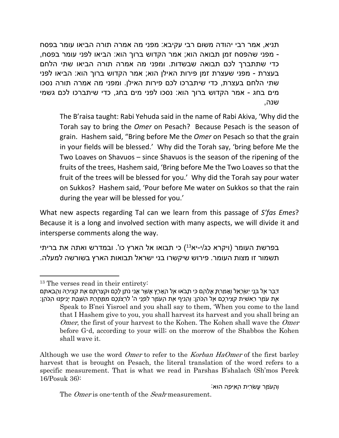תניא, אמר רבי יהודה משום רבי עקיבא: מפני מה אמרה תורה הביאו עומר בפסח - מפני שהפסח זמן תבואה הוא; אמר הקדוש ברוך הוא: הביאו לפני עומר בפסח, כדי שתתברך לכם תבואה שבשדות. ומפני מה אמרה תורה הביאו שתי הלחם בעצרת - מפני שעצרת זמן פירות האילן הוא; אמר הקדוש ברוך הוא: הביאו לפני שתי הלחם בעצרת, כדי שיתברכו לכם פירות האילן. ומפני מה אמרה תורה נסכו מים בחג - אמר הקדוש ברוך הוא: נסכו לפני מים בחג, כדי שיתברכו לכם גשמי שנה,

The B'raisa taught: Rabi Yehuda said in the name of Rabi Akiva, 'Why did the Torah say to bring the *Omer* on Pesach? Because Pesach is the season of grain. Hashem said, "Bring before Me the *Omer* on Pesach so that the grain in your fields will be blessed.' Why did the Torah say, 'bring before Me the Two Loaves on Shavuos – since Shavuos is the season of the ripening of the fruits of the trees, Hashem said, 'Bring before Me the Two Loaves so that the fruit of the trees will be blessed for you.' Why did the Torah say pour water on Sukkos? Hashem said, 'Pour before Me water on Sukkos so that the rain during the year will be blessed for you.'

What new aspects regarding Tal can we learn from this passage of *S'fas Emes*? Because it is a long and involved section with many aspects, we will divide it and intersperse comments along the way.

בפרשת העומר (ויקרא כג/י-יא13) כי תבואו אל הארץ כו'. ובמדרש ואתה את בריתי תשמור זו מצות העומר. פירוש שיקשרו בני ישראל תבואות הארץ בשורשה למעלה.

Although we use the word *Omer* to refer to the *Korban HaOmer* of the first barley harvest that is brought on Pesach, the literal translation of the word refers to a specific measurement. That is what we read in Parshas B'shalach (Sh'mos Perek 16/Posuk 36):

וְהָעֹמֶר עֲשִׂרִית הָאֵיפָה הוּא:

The *Omer* is one-tenth of the *Seah*-measurement.

<sup>13</sup> The verses read in their entirety:

דַּבֵּר אֶל בְּנֵי יִשְׂרָאֵל וְאָמַרְתָּ אֲלֵהֶם כִּי תָבֹאוּ אֶל הָאָרֶץ אֲשֶׁר אֲנִי נֹתֵן לָכֶם וּקְצַרְתֶּם אֶת קְצִירָהּ וַהֲבֵאתֶם אֶת עֹמֶר רֵאשִׁית קְצִירְכֶם אֶל הַכֹּהֵן: וְהֵנִיף אֶת הָעֹמֶר לִפְנֵי ה' לִרְצֹנְכֶם מִמָּחֳרַת הַשַּׁבָּת יְנִיפֶנּוּ הַכֹּהֵן:

Speak to B'nei Yisroel and you shall say to them, 'When you come to the land that I Hashem give to you, you shall harvest its harvest and you shall bring an *Omer*, the first of your harvest to the Kohen. The Kohen shall wave the *Omer*  before G-d, according to your will; on the morrow of the Shabbos the Kohen shall wave it.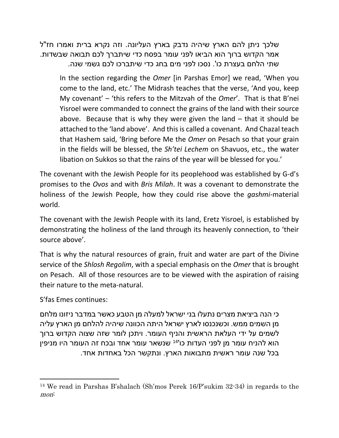שלכך ניתן להם הארץ שיהיה נדבק בארץ העליונה. וזה נקרא ברית ואמרו חז"ל אמר הקדוש ברוך הוא הביאו לפני עומר בפסח כדי שיתברך לכם תבואה שבשדות. שתי הלחם בעצרת כו'. נסכו לפני מים בחג כדי שיתברכו לכם גשמי שנה.

In the section regarding the *Omer* [in Parshas Emor] we read, 'When you come to the land, etc.' The Midrash teaches that the verse, 'And you, keep My covenant' – 'this refers to the Mitzvah of the *Omer*'. That is that B'nei Yisroel were commanded to connect the grains of the land with their source above. Because that is why they were given the land – that it should be attached to the 'land above'. And this is called a covenant. And Chazal teach that Hashem said, 'Bring before Me the *Omer* on Pesach so that your grain in the fields will be blessed, the *Sh'tei Lechem* on Shavuos, etc., the water libation on Sukkos so that the rains of the year will be blessed for you.'

The covenant with the Jewish People for its peoplehood was established by G-d's promises to the *Ovos* and with *Bris Milah*. It was a covenant to demonstrate the holiness of the Jewish People, how they could rise above the *gashmi*-material world.

The covenant with the Jewish People with its land, Eretz Yisroel, is established by demonstrating the holiness of the land through its heavenly connection, to 'their source above'.

That is why the natural resources of grain, fruit and water are part of the Divine service of the *Shlosh Regolim*, with a special emphasis on the *Omer* that is brought on Pesach. All of those resources are to be viewed with the aspiration of raising their nature to the meta-natural.

S'fas Emes continues:

כי הנה ביציאת מצרים נתעלו בני ישראל למעלה מן הטבע כאשר במדבר ניזונו מלחם מן השמים ממש. וכשנכנסו לארץ ישראל היתה הכוונה שיהיה להלחם מן הארץ עליה לשמים על ידי העלאת הראשית והניף העומר. ויתכן לומר שזה שצוה הקדוש ברוך הוא להניח עומר מן לפני העדות כו<sup>י14</sup> שנשאר עומר אחד ובכח זה העומר היו מניפין בכל שנה עומר ראשית מתבואות הארץ. ונתקשר הכל באחדות אחד.

<sup>14</sup> We read in Parshas B'shalach (Sh'mos Perek 16/P'sukim 32-34) in regards to the *mon*: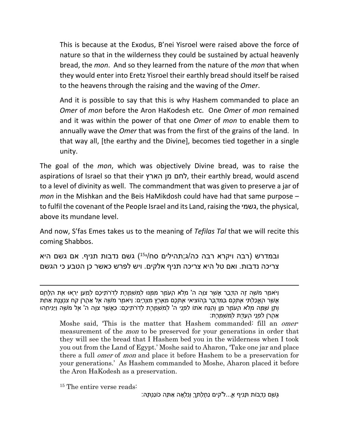This is because at the Exodus, B'nei Yisroel were raised above the force of nature so that in the wilderness they could be sustained by actual heavenly bread, the *mon*. And so they learned from the nature of the *mon* that when they would enter into Eretz Yisroel their earthly bread should itself be raised to the heavens through the raising and the waving of the *Omer*.

And it is possible to say that this is why Hashem commanded to place an *Omer* of *mon* before the Aron HaKodesh etc. One *Omer* of *mon* remained and it was within the power of that one *Omer* of *mon* to enable them to annually wave the *Omer* that was from the first of the grains of the land. In that way all, [the earthy and the Divine], becomes tied together in a single unity.

The goal of the *mon*, which was objectively Divine bread, was to raise the aspirations of Israel so that their הארץ מן לחם, their earthly bread, would ascend to a level of divinity as well. The commandment that was given to preserve a jar of *mon* in the Mishkan and the Beis HaMikdosh could have had that same purpose – to fulfil the covenant of the People Israel and its Land, raising the גשמי, the physical, above its mundane level.

And now, S'fas Emes takes us to the meaning of *Tefilas Tal* that we will recite this coming Shabbos.

ובמדרש (רבה ויקרא רבה כה/ג;תהילים סח/י15) גשם נדבות תניף. אם גשם היא צריכה נדבות. ואם טל היא צריכה תניף אלקים. ויש לפרש כאשר כן הטבע כי הגשם

<sup>15</sup> The entire verse reads:

גֶּשֶׁם נְדָבוֹת תָּנִיף א...ֱלֹ'קים נַחֲלָתְךָ וְנִלְאָה אַתָּה כוֹנַנְתָּהּ:

וַיֹּאמֶר מֹשֶׁה זֶה הַדָּבָר אֲשֶׁר צִוָּה ה' מְלֹא הָעֹמֶר מִמֶּנּוּ לְמִשְׁמֶרֶת לְדֹרֹתֵיכֶם לְמַעַן יִרְאוּ אֶת הַלֶּחֶם אֲשֶׁר הֶאֱכַלְתִּי אֶתְכֶם בַּמִּדְבָּר בְּהוֹצִיאִי אֶתְכֶם מֵאֶרֶץ מִצְרָיִם: וַיֹּאמֶר מֹשֶׁה אֶל אַהֲרֹן קַח צִנְצֶנֶת אַחַת וְתֶן שָׁמָּה מְלֹא הָעֹמֶר מָן וְהַנַּח אֹתוֹ לִפְנֵי ה' לְמִשְׁמֶרֶת לְדֹרֹתֵיכֶם: כַּאֲשֶׁר צִוָּה ה' אֶל מֹשֶׁה וַיַּנִּיחֵהוּ אַהֲרֹן לִפְנֵי הָעֵדֻת לְמִשְׁמָרֶת:

Moshe said, 'This is the matter that Hashem commanded: fill an *omer*measurement of the *mon* to be preserved for your generations in order that they will see the bread that I Hashem bed you in the wilderness when I took you out from the Land of Egypt.' Moshe said to Aharon, 'Take one jar and place there a full *omer* of *mon* and place it before Hashem to be a preservation for your generations.' As Hashem commanded to Moshe, Aharon placed it before the Aron HaKodesh as a preservation.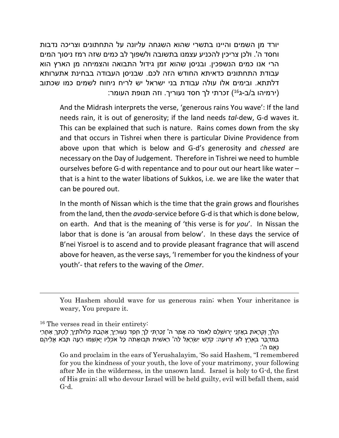יורד מן השמים והיינו בתשרי שהוא השגחה עליונה על התחתונים וצריכה נדבות וחסד ה'. ולכן צריכין להכניע עצמנו בתשובה ולשפוך לב כמים שזה רמז ניסוך המים הרי אנו כמים הנשפכין. ובניסן שהוא זמן גידול התבואה והצמיחה מן הארץ הוא עבודת התחתונים כדאיתא החודש הזה לכם. שבניסן העבודה בבחינת אתערותא דלתתא. ובימים אלו עולה עבודת בני ישראל יש לריח ניחוח לשמים כמו שכתוב (ירמיהו ב/ב-ג<sup>16</sup>) זכרתי לך חסד נעוריך. וזה תנופת העומר:

And the Midrash interprets the verse, 'generous rains You wave': If the land needs rain, it is out of generosity; if the land needs *tal*-dew, G-d waves it. This can be explained that such is nature. Rains comes down from the sky and that occurs in Tishrei when there is particular Divine Providence from above upon that which is below and G-d's generosity and *chessed* are necessary on the Day of Judgement. Therefore in Tishrei we need to humble ourselves before G-d with repentance and to pour out our heart like water – that is a hint to the water libations of Sukkos, i.e. we are like the water that can be poured out.

In the month of Nissan which is the time that the grain grows and flourishes from the land, then the *avoda*-service before G-d is that which is done below, on earth. And that is the meaning of 'this verse is for *you*'. In Nissan the labor that is done is 'an arousal from below'. In these days the service of B'nei Yisroel is to ascend and to provide pleasant fragrance that will ascend above for heaven, as the verse says, 'I remember for you the kindness of your youth'- that refers to the waving of the *Omer*.

You Hashem should wave for us generous rain; when Your inheritance is weary, You prepare it.

<sup>16</sup> The verses read in their entirety:

הָלֹךְ וְקָרָאתָ בְאָזְנֵי יְרוּשָׁלִַם לֵאמֹר כֹּה אָמַר ה' זָכַרְתִּי לָךְ חֶסֶד נְעוּרַיִךְ אַהֲבַת כְּלוּלֹתָיִךְ לֶכְתֵּךְ אַחֲרַי בַּמִּדְבָּר בְּאֶרֶץ לֹא זְרוּעָה: קֹדֶשׁ יִשְׂרָאֵל לַה' רֵאשִׁית תְּבוּאָתֹה כָּל אֹכְלָיו יֶאְשָׁמוּ רָעָה תָּבֹא אֲלֵיהֶם נְאֻם ה':

Go and proclaim in the ears of Yerushalayim, 'So said Hashem, "I remembered for you the kindness of your youth, the love of your matrimony, your following after Me in the wilderness, in the unsown land. Israel is holy to G-d, the first of His grain; all who devour Israel will be held guilty, evil will befall them, said G-d.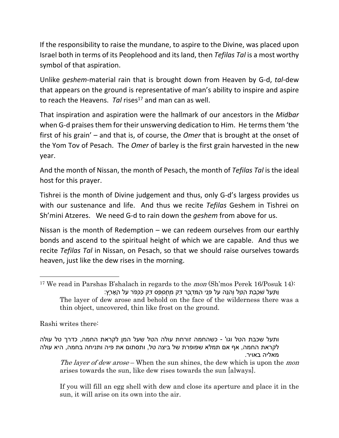If the responsibility to raise the mundane, to aspire to the Divine, was placed upon Israel both in terms of its Peoplehood and its land, then *Tefilas Tal* is a most worthy symbol of that aspiration.

Unlike *geshem*-material rain that is brought down from Heaven by G-d, *tal*-dew that appears on the ground is representative of man's ability to inspire and aspire to reach the Heavens. *Tal* rises<sup>17</sup> and man can as well.

That inspiration and aspiration were the hallmark of our ancestors in the *Midbar* when G-d praises them for their unswerving dedication to Him. He terms them 'the first of his grain' – and that is, of course, the *Omer* that is brought at the onset of the Yom Tov of Pesach. The *Omer* of barley is the first grain harvested in the new year.

And the month of Nissan, the month of Pesach, the month of *Tefilas Tal* is the ideal host for this prayer.

Tishrei is the month of Divine judgement and thus, only G-d's largess provides us with our sustenance and life. And thus we recite *Tefilas* Geshem in Tishrei on Sh'mini Atzeres. We need G-d to rain down the *geshem* from above for us.

Nissan is the month of Redemption – we can redeem ourselves from our earthly bonds and ascend to the spiritual height of which we are capable. And thus we recite *Tefilas Tal* in Nissan, on Pesach, so that we should raise ourselves towards heaven, just like the dew rises in the morning.

Rashi writes there:

*The layer of dew arose* – When the sun shines, the dew which is upon the *mon* arises towards the sun, like dew rises towards the sun [always].

If you will fill an egg shell with dew and close its aperture and place it in the sun, it will arise on its own into the air.

<sup>17</sup> We read in Parshas B'shalach in regards to the *mon* (Sh'mos Perek 16/Posuk 14): וַתַּעַל שִׁכְבַת הַטָּל וְהִנֵּה עַל פְּנֵי הַמִּדְבָּר דַּק מְחֻסְפָּס דַּק כַּכְּפֹר עַל הָאָרֶץ: The layer of dew arose and behold on the face of the wilderness there was a thin object, uncovered, thin like frost on the ground.

ותעל שכבת הטל וגו' - כשהחמה זורחת עולה הטל שעל המן לקראת החמה, כדרך טל עולה לקראת החמה, אף אם תמלא שפופרת של ביצה טל, ותסתום את פיה ותניחה בחמה, היא עולה מאליה באויר.